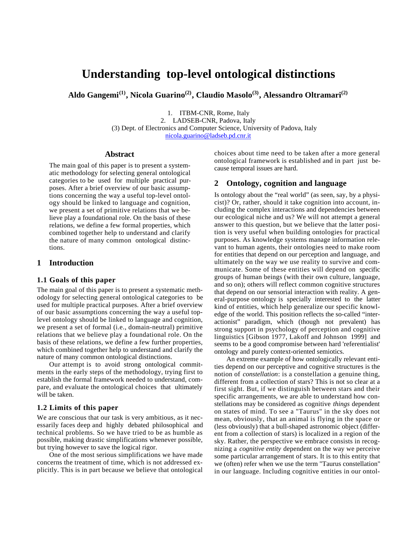# **Understanding top-level ontological distinctions**

**Aldo Gangemi(1), Nicola Guarino(2), Claudio Masolo(3), Alessandro Oltramari(2)**

1. ITBM-CNR, Rome, Italy 2. LADSEB-CNR, Padova, Italy (3) Dept. of Electronics and Computer Science, University of Padova, Italy nicola.guarino@ladseb.pd.cnr.it

#### **Abstract**

The main goal of this paper is to present a systematic methodology for selecting general ontological categories to be used for multiple practical purposes. After a brief overview of our basic assumptions concerning the way a useful top-level ontology should be linked to language and cognition, we present a set of primitive relations that we believe play a foundational role. On the basis of these relations, we define a few formal properties, which combined together help to understand and clarify the nature of many common ontological distinctions.

# **1 Introduction**

## **1.1 Goals of this paper**

The main goal of this paper is to present a systematic methodology for selecting general ontological categories to be used for multiple practical purposes. After a brief overview of our basic assumptions concerning the way a useful toplevel ontology should be linked to language and cognition, we present a set of formal (i.e., domain-neutral) primitive relations that we believe play a foundational role. On the basis of these relations, we define a few further properties, which combined together help to understand and clarify the nature of many common ontological distinctions.

Our attempt is to avoid strong ontological commitments in the early steps of the methodology, trying first to establish the formal framework needed to understand, compare, and evaluate the ontological choices that ultimately will be taken.

## **1.2 Limits of this paper**

We are conscious that our task is very ambitious, as it necessarily faces deep and highly debated philosophical and technical problems. So we have tried to be as humble as possible, making drastic simplifications whenever possible, but trying however to save the logical rigor.

One of the most serious simplifications we have made concerns the treatment of time, which is not addressed explicitly. This is in part because we believe that ontological choices about time need to be taken after a more general ontological framework is established and in part just because temporal issues are hard.

## **2 Ontology, cognition and language**

Is ontology about the "real world" (as seen, say, by a physicist)? Or, rather, should it take cognition into account, including the complex interactions and dependencies between our ecological niche and us? We will not attempt a general answer to this question, but we believe that the latter position is very useful when building ontologies for practical purposes. As knowledge systems manage information relevant to human agents, their ontologies need to make room for entities that depend on our perception and language, and ultimately on the way we use reality to survive and communicate. Some of these entities will depend on specific groups of human beings (with their own culture, language, and so on); others will reflect common cognitive structures that depend on our sensorial interaction with reality. A general-purpose ontology is specially interested to the latter kind of entities, which help generalize our specific knowledge of the world. This position reflects the so-called "interactionist" paradigm, which (though not prevalent) has strong support in psychology of perception and cognitive linguistics [Gibson 1977, Lakoff and Johnson 1999] and seems to be a good compromise between hard 'referentialist' ontology and purely context-oriented semiotics.

An extreme example of how ontologically relevant entities depend on our perceptive and cognitive structures is the notion of *constellation*: is a constellation a genuine thing, different from a collection of stars? This is not so clear at a first sight. But, if we distinguish between stars and their specific arrangements, we are able to understand how constellations may be considered as cognitive *things* dependent on states of mind. To see a "Taurus" in the sky does not mean, obviously, that an animal is flying in the space or (less obviously) that a bull-shaped astronomic object (different from a collection of stars) is localized in a region of the sky. Rather, the perspective we embrace consists in recognizing a *cognitive entity* dependent on the way we perceive some particular arrangement of stars. It is to this entity that we (often) refer when we use the term "Taurus constellation" in our language. Including cognitive entities in our ontol-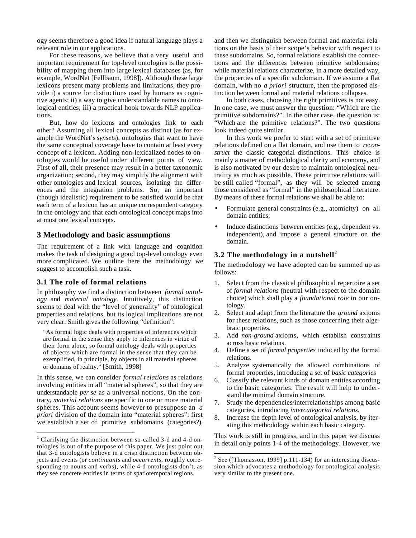ogy seems therefore a good idea if natural language plays a relevant role in our applications.

For these reasons, we believe that a very useful and important requirement for top-level ontologies is the possibility of mapping them into large lexical databases (as, for example, WordNet [Fellbaum, 1998]). Although these large lexicons present many problems and limitations, they provide i) a source for distinctions used by humans as cognitive agents; ii) a way to give understandable names to ontological entities; iii) a practical hook towards NLP applications.

But, how do lexicons and ontologies link to each other? Assuming all lexical concepts as distinct (as for example the WordNet's *synsets*), ontologies that want to have the same conceptual coverage have to contain at least every concept of a lexicon. Adding non-lexicalized nodes to ontologies would be useful under different points of view. First of all, their presence may result in a better taxonomic organization; second, they may simplify the alignment with other ontologies and lexical sources, isolating the differences and the integration problems. So, an important (though idealistic) requirement to be satisfied would be that each term of a lexicon has an unique correspondent category in the ontology and that each ontological concept maps into at most one lexical concepts.

# **3 Methodology and basic assumptions**

The requirement of a link with language and cognition makes the task of designing a good top-level ontology even more complicated. We outline here the methodology we suggest to accomplish such a task.

#### **3.1 The role of formal relations**

 $\overline{a}$ 

In philosophy we find a distinction between *formal ontology* and *material ontology*. Intuitively, this distinction seems to deal with the "level of generality" of ontological properties and relations, but its logical implications are not very clear. Smith gives the following "definition":

"As formal logic deals with properties of inferences which are formal in the sense they apply to inferences in virtue of their form alone, so formal ontology deals with properties of objects which are formal in the sense that they can be exemplified, in principle, by objects in all material spheres or domains of reality." [Smith, 1998]

In this sense, we can consider *formal relations* as relations involving entities in all "material spheres", so that they are understandable *per se* as a universal notions. On the contrary, *material relations* are specific to one or more material spheres. This account seems however to presuppose an *a priori* division of the domain into "material spheres": first we establish a set of primitive subdomains (categories?),

and then we distinguish between formal and material relations on the basis of their scope's behavior with respect to these subdomains. So, formal relations establish the connections and the differences between primitive subdomains; while material relations characterize, in a more detailed way, the properties of a specific subdomain. If we assume a flat domain, with no *a priori* structure, then the proposed distinction between formal and material relations collapses.

In both cases, choosing the right primitives is not easy. In one case, we must answer the question: "Which are the primitive subdomains?". In the other case, the question is: "Which are the primitive relations?". The two questions look indeed quite similar.

In this work we prefer to start with a set of primitive relations defined on a flat domain, and use them to *reconstruct* the classic categorial distinctions. This choice is mainly a matter of methodological clarity and economy, and is also motivated by our desire to maintain ontological neutrality as much as possible. These primitive relations will be still called "formal", as they will be selected among those considered as "formal" in the philosophical literature. By means of these formal relations we shall be able to:

- Formulate general constraints (e.g., atomicity) on all domain entities;
- Induce distinctions between entities (e.g., dependent vs. independent), and impose a general structure on the domain.

## **3.2 The methodology in a nutshell**<sup>2</sup>

The methodology we have adopted can be summed up as follows:

- 1. Select from the classical philosophical repertoire a set of *formal relations* (neutral with respect to the domain choice) which shall play a *foundational role* in our ontology.
- 2. Select and adapt from the literature the *ground* axioms for these relations, such as those concerning their algebraic properties.
- 3. Add *non-ground* axioms, which establish constraints across basic relations.
- 4. Define a set of *formal properties* induced by the formal relations.
- 5. Analyze systematically the allowed combinations of formal properties, introducing a set of *basic categories*
- 6. Classify the relevant kinds of domain entities according to the basic categories. The result will help to understand the minimal domain structure.
- 7. Study the dependencies/interrelationships among basic categories, introducing *intercategorial relations.*
- 8. Increase the depth level of ontological analysis, by iterating this methodology within each basic category.

This work is still in progress, and in this paper we discuss in detail only points 1-4 of the methodology. However, we

<sup>&</sup>lt;sup>1</sup> Clarifying the distinction between so-called 3-d and 4-d ontologies is out of the purpose of this paper. We just point out that 3-d ontologists believe in a crisp distinction between objects and events (or *continuants* and *occurrents*, roughly corresponding to nouns and verbs), while 4-d ontologists don't, as they see concrete entities in terms of spatiotemporal regions.

 2 See ([Thomasson, 1999] p.111-134) for an interesting discussion which advocates a methodology for ontological analysis very similar to the present one.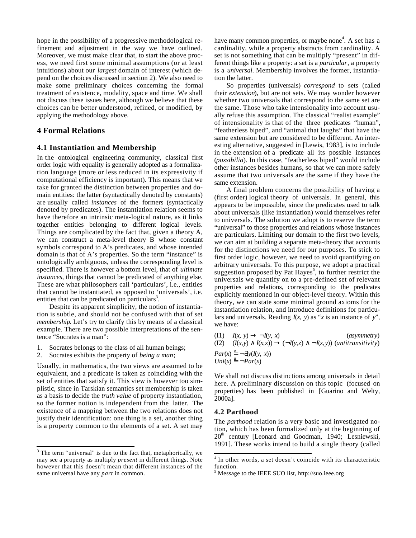hope in the possibility of a progressive methodological refinement and adjustment in the way we have outlined. Moreover, we must make clear that, to start the above process, we need first some minimal assumptions (or at least intuitions) about our *largest* domain of interest (which depend on the choices discussed in section 2). We also need to make some preliminary choices concerning the formal treatment of existence, modality, space and time. We shall not discuss these issues here, although we believe that these choices can be better understood, refined, or modified, by applying the methodology above.

## **4 Formal Relations**

## **4.1 Instantiation and Membership**

In the ontological engineering community, classical first order logic with equality is generally adopted as a formalization language (more or less reduced in its expressivity if computational efficiency is important). This means that we take for granted the distinction between properties and domain entities: the latter (syntactically denoted by constants) are usually called *instances* of the formers (syntactically denoted by predicates). The instantiation relation seems to have therefore an intrinsic meta-logical nature, as it links together entities belonging to different logical levels. Things are complicated by the fact that, given a theory A, we can construct a meta-level theory B whose constant symbols correspond to A's predicates, and whose intended domain is that of A's properties. So the term "instance" is ontologically ambiguous, unless the corresponding level is specified. There is however a bottom level, that of *ultimate instances,* things that cannot be predicated of anything else. These are what philosophers call 'particulars', i.e., entities that cannot be instantiated, as opposed to 'universals', i.e. entities that can be predicated on particulars<sup>3</sup>.

Despite its apparent simplicity, the notion of instantiation is subtle, and should not be confused with that of set *membership*. Let's try to clarify this by means of a classical example. There are two possible interpretations of the sentence "Socrates is a man":

- 1. Socrates belongs to the class of all human beings;
- 2. Socrates exhibits the property of *being a man*;

Usually, in mathematics, the two views are assumed to be equivalent, and a predicate is taken as coinciding with the set of entities that satisfy it. This view is however too simplistic, since in Tarskian semantics set membership is taken as a basis to decide the *truth value* of property instantiation, so the former notion is independent from the latter. The existence of a mapping between the two relations does not justify their identification: one thing is a set, another thing is a property common to the elements of a set. A set may

have many common properties, or maybe none<sup>4</sup>. A set has a cardinality, while a property abstracts from cardinality. A set is not something that can be multiply "present" in different things like a property: a set is a *particular*, a property is a *universal*. Membership involves the former, instantiation the latter.

So properties (universals) *correspond* to sets (called their *extension*), but are not sets. We may wonder however whether two universals that correspond to the same set are the same. Those who take intensionality into account usually refuse this assumption. The classical "realist example" of intensionality is that of the three predicates "human", "featherless biped", and "animal that laughs" that have the same extension but are considered to be different. An interesting alternative, suggested in [Lewis, 1983], is to include in the extension of a predicate all its possible instances (*possibilia*). In this case, "featherless biped" would include other instances besides humans, so that we can more safely assume that two universals are the same if they have the same extension.

A final problem concerns the possibility of having a (first order) logical theory of universals. In general, this appears to be impossible, since the predicates used to talk about universals (like instantiation) would themselves refer to universals. The solution we adopt is to reserve the term "universal" to those properties and relations whose instances are particulars. Limiting our domain to the first two levels, we can aim at building a separate meta-theory that accounts for the distinctions we need for our purposes. To stick to first order logic, however, we need to avoid quantifying on arbitrary universals. To this purpose, we adopt a practical suggestion proposed by Pat  $\text{Hayes}^5$ , to further restrict the universals we quantify on to a pre-defined set of relevant properties and relations, corresponding to the predicates explicitly mentioned in our object-level theory. Within this theory, we can state some minimal ground axioms for the instantiation relation, and introduce definitions for particulars and universals. Reading *I*(*x*, *y*) as "*x* is an instance of *y*", we have:

(I1)  $I(x, y) \quad \neg I(y, x)$  (*asymmetry*) (I2)  $(I(x,y) \quad I(x,z)) \quad (-I(y,z) \quad \neg I(z,y))$  (*antitransitivity*)  $Par(x) = \neg y(I(y, x))$  $Uni(x) = \neg Par(x)$ 

We shall not discuss distinctions among universals in detail here. A preliminary discussion on this topic (focused on properties) has been published in [Guarino and Welty, 2000a].

#### **4.2 Parthood**

The *parthood* relation is a very basic and investigated notion, which has been formalized only at the beginning of  $20<sup>th</sup>$  century [Leonard and Goodman, 1940; Lesniewski, 1991]. These works intend to build a single theory (called

<sup>&</sup>lt;sup>3</sup> The term "universal" is due to the fact that, metaphorically, we may see a property as multiply *present* in different things. Note however that this doesn't mean that different instances of the same universal have any *part* in common.

 4 In other words, a set doesn't coincide with its characteristic function.

<sup>&</sup>lt;sup>5</sup> Message to the IEEE SUO list, http://suo.ieee.org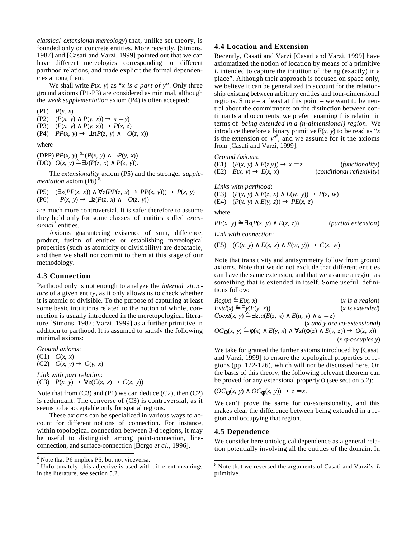*classical extensional mereology*) that, unlike set theory, is founded only on concrete entities. More recently, [Simons, 1987] and [Casati and Varzi, 1999] pointed out that we can have different mereologies corresponding to different parthood relations, and made explicit the formal dependencies among them.

We shall write  $P(x, y)$  as "*x is a part of y*". Only three ground axioms (P1-P3) are considered as minimal, although the *weak supplementation* axiom (P4) is often accepted:

(P1) *P*(*x*, *x*) (P2)  $(P(x, y)$   $P(y, x))$   $x = y$ (P3) (*P*(*x*, *y*) *P*(*y*, *z*)) *P*(*x*, *z*) (P4)  $PP(x, y)$   $z(P(z, y) - O(z, x))$ where

 $(PPP) PP(x, y) = (P(x, y) - P(y, x))$ (DO)  $O(x, y) = z(P(z, x) - P(z, y)).$ 

The *extensionality* axiom (P5) and the stronger *supplementation* axiom (P6)<sup>6</sup>:

(P5) 
$$
(z(PP(z, x)) z(PP(z, x) PP(z, y))) P(x, y)
$$
  
(P6)  $\neg P(x, y) z(P(z, x) \neg O(z, y))$ 

are much more controversial. It is safer therefore to assume they hold only for some classes of entities called *extensional<sup>7</sup>* entities.

Axioms guaranteeing existence of sum, difference, product, fusion of entities or establishing mereological properties (such as atomicity or divisibility) are debatable, and then we shall not commit to them at this stage of our methodology.

## **4.3 Connection**

Parthood only is not enough to analyze the *internal structure* of a given entity, as it only allows us to check whether it is atomic or divisible. To the purpose of capturing at least some basic intuitions related to the notion of whole, connection is usually introduced in the meretopological literature [Simons, 1987; Varzi, 1999] as a further primitive in addition to parthood. It is assumed to satisfy the following minimal axioms:

*Ground axioms*: (C1) *C*(*x*, *x*)  $(C2)$   $C(x, y)$   $C(y, x)$ 

*Link with part relation*: (C3)  $P(x, y)$   $z(C(z, x)$   $C(z, y))$ 

Note that from (C3) and (P1) we can deduce (C2), then (C2) is redundant. The converse of  $(C3)$  is controversial, as it seems to be acceptable only for spatial regions.

These axioms can be specialized in various ways to account for different notions of connection. For instance, within topological connection between 3-d regions, it may be useful to distinguish among point-connection, lineconnection, and surface-connection [Borgo *et al.*, 1996].

### **4.4 Location and Extension**

Recently, Casati and Varzi [Casati and Varzi, 1999] have axiomatized the notion of location by means of a primitive *L* intended to capture the intuition of "being (exactly) in a place". Although their approach is focused on space only, we believe it can be generalized to account for the relationship existing between arbitrary entities and four-dimensional regions. Since – at least at this point – we want to be neutral about the commitments on the distinction between continuants and occurrents, we prefer renaming this relation in terms of *being extended in a (n-dimensional) region.* We introduce therefore a binary primitive  $E(x, y)$  to be read as "x" is the extension of  $y^{8}$ , and we assume for it the axioms from [Casati and Varzi, 1999]:

*Ground Axioms*:

(E1)  $(E(x, y) \quad E(z, y)) \quad x = z$  (*functionality*) (E2) *E*(*x*, *y*) *E*(*x*, *x*) (*conditional reflexivity*) *Links with parthood*: (E3) (*P*(*x*, *y*) *E*(*z*, *x*) *E*(*w*, *y*)) *P*(*z*, *w*) (E4) (*P*(*x*, *y*) *E*(*y*, *z*)) *PE*(*x*, *z*) where  $PE(x, y) = z(P(z, y) \quad E(x, z))$  (*partial extension*) *Link with connection*:

(E5)  $(C(x, y) \quad E(z, x) \quad E(w, y) \quad C(z, w)$ 

Note that transitivity and antisymmetry follow from ground axioms. Note that we do not exclude that different entities can have the same extension, and that we assume a region as something that is extended in itself. Some useful definitions follow:

| $Reg(x) = E(x, x)$                                      | (x is a region)              |
|---------------------------------------------------------|------------------------------|
| $Extd(x) = y(E(y, x))$                                  | (x is extended)              |
| $Coext(x, y) = z, u(E(z, x) - E(u, y) - u = z)$         | (x and y are co-extensional) |
| $OC(x, y) = (x) - E(y, x) - z((z) - E(y, z)) - O(z, x)$ | (x -occupies y)              |

We take for granted the further axioms introduced by [Casati and Varzi, 1999] to ensure the topological properties of regions (pp. 122-126), which will not be discussed here. On the basis of this theory, the following relevant theorem can be proved for any extensional property (see section 5.2):

$$
(OC (x, y) OC (z, y)) z = x.
$$

We can't prove the same for co-extensionality, and this makes clear the difference between being extended in a region and occupying that region.

#### **4.5 Dependence**

 $\overline{a}$ 

We consider here ontological dependence as a general relation potentially involving all the entities of the domain. In

<sup>&</sup>lt;sup>6</sup> Note that P6 implies P5, but not viceversa.

 $\frac{7}{7}$  Unfortunately, this adjective is used with different meanings in the literature, see section 5.2.

<sup>8</sup> Note that we reversed the arguments of Casati and Varzi's *L* primitive.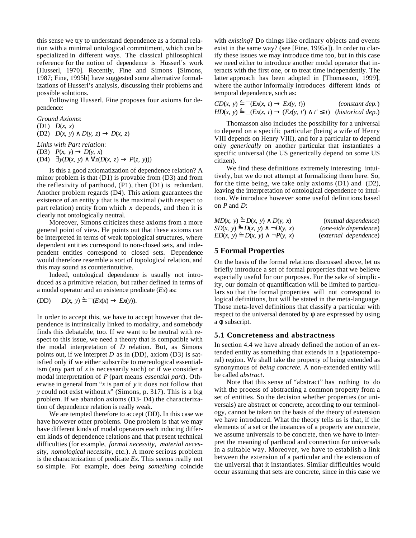this sense we try to understand dependence as a formal relation with a minimal ontological commitment, which can be specialized in different ways. The classical philosophical reference for the notion of dependence is Husserl's work [Husserl, 1970]. Recently, Fine and Simons [Simons, 1987; Fine, 1995b] have suggested some alternative formalizations of Husserl's analysis, discussing their problems and possible solutions.

Following Husserl, Fine proposes four axioms for dependence:

*Ground Axioms*:

(D1) *D*(*x*, *x*)

(D2) *D*(*x*, *y*) *D*(*y*, *z*) *D*(*x*, *z*)

*Links with Part relation*:

(D3) *P*(*x*, *y*) *D*(*y*, *x*)

(D4)  $y(D(x, y) = z(D(x, z) - P(z, y)))$ 

Is this a good axiomatization of dependence relation? A minor problem is that (D1) is provable from (D3) and from the reflexivity of parthood, (P1), then (D1) is redundant. Another problem regards (D4). This axiom guarantees the existence of an entity *y* that is the maximal (with respect to part relation) entity from which *x* depends, and then it is clearly not ontologically neutral.

Moreover, Simons criticizes these axioms from a more general point of view. He points out that these axioms can be interpreted in terms of weak topological structures, where dependent entities correspond to non-closed sets, and independent entities correspond to closed sets. Dependence would therefore resemble a sort of topological relation, and this may sound as counterintuitive.

Indeed, ontological dependence is usually not introduced as a primitive relation, but rather defined in terms of a modal operator and an existence predicate (*Ex*) as:

$$
(DD) \qquad D(x, y) = \Box (Ex(x) \qquad Ex(y)).
$$

In order to accept this, we have to accept however that dependence is intrinsically linked to modality, and somebody finds this debatable, too. If we want to be neutral with respect to this issue, we need a theory that is compatible with the modal interpretation of *D* relation. But, as Simons points out, if we interpret *D* as in (DD), axiom (D3) is satisfied only if we either subscribe to mereological essentialism (any part of *x* is necessarily such) or if we consider a modal interpretation of *P* (part means *essential part*). Otherwise in general from "*x* is part of *y* it does not follow that *y* could not exist without *x*" (Simons, p. 317). This is a big problem. If we abandon axioms (D3- D4) the characterization of dependence relation is really weak.

We are tempted therefore to accept (DD). In this case we have however other problems. One problem is that we may have different kinds of modal operators each inducing different kinds of dependence relations and that present technical difficulties (for example, *formal necessity*, *material necessity*, *nomological necessity*, etc.). A more serious problem is the characterization of predicate *Ex*. This seems really not so simple. For example, does *being something* coincide with *existing*? Do things like ordinary objects and events exist in the same way? (see [Fine, 1995a]). In order to clarify these issues we may introduce time too, but in this case we need either to introduce another modal operator that interacts with the first one, or to treat time independently. The latter approach has been adopted in [Thomasson, 1999], where the author informally introduces different kinds of temporal dependence, such as:

| $CD(x, y) = \Box (Ex(x, t))$ | Ex(y, t) |  | (constant dep.)                                  |
|------------------------------|----------|--|--------------------------------------------------|
| $HD(x, y) = \Box (Ex(x, t))$ |          |  | $(EX(y, t') \quad t' \quad t)$ (historical dep.) |

Thomasson also includes the possibility for a universal to depend on a specific particular (being a wife of Henry VIII depends on Henry VIII), and for a particular to depend only *generically* on another particular that instantiates a specific universal (the US generically depend on some US citizen).

We find these definitions extremely interesting intuitively, but we do not attempt at formalizing them here. So, for the time being, we take only axioms (D1) and (D2), leaving the interpretation of ontological dependence to intuition. We introduce however some useful definitions based on *P* and *D*:

| $MD(x, y) = D(x, y)$ | D(y, x)        | (mutual dependence)            |
|----------------------|----------------|--------------------------------|
| $SD(x, y) = D(x, y)$ | $\neg D(y, x)$ | ( <i>one-side dependence</i> ) |
| $ED(x, y) = D(x, y)$ | $\neg P(y, x)$ | (external dependence)          |

## **5 Formal Properties**

On the basis of the formal relations discussed above, let us briefly introduce a set of formal properties that we believe especially useful for our purposes. For the sake of simplicity, our domain of quantification will be limited to particulars so that the formal properties will not correspond to logical definitions, but will be stated in the meta-language. Those meta-level definitions that classify a particular with respect to the universal denoted by are expressed by using a subscript.

## **5.1 Concreteness and abstractness**

In section 4.4 we have already defined the notion of an extended entity as something that extends in a (spatiotemporal) region. We shall take the property of being extended as synonymous of *being concrete.* A non-extended entity will be called *abstract*.

Note that this sense of "abstract" has nothing to do with the process of abstracting a common property from a set of entities. So the decision whether properties (or universals) are abstract or concrete, according to our terminology, cannot be taken on the basis of the theory of extension we have introduced. What the theory tells us is that, if the elements of a set or the instances of a property are concrete, we assume universals to be concrete, then we have to interpret the meaning of parthood and connection for universals in a suitable way. Moreover, we have to establish a link between the extension of a particular and the extension of the universal that it instantiates. Similar difficulties would occur assuming that sets are concrete, since in this case we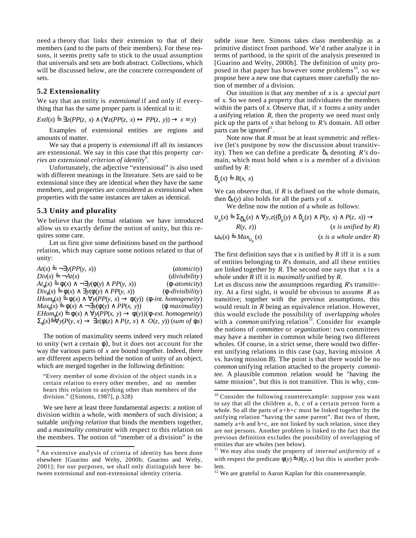need a theory that links their extension to that of their members (and to the parts of their members). For these reasons, it seems pretty safe to stick to the usual assumption that universals and sets are both abstract. Collections, which will be discussed below, are the concrete correspondent of sets.

## **5.2 Extensionality**

We say that an entity is *extensional* if and only if everything that has the same proper parts is identical to it:

$$
Extl(x) = z(PP(z, x) \quad (z(PP(z, x) \quad PP(z, y)) \quad x = y)
$$

Examples of extensional entities are regions and amounts of matter.

We say that a property is *extensional* iff all its instances are extensional. We say in this case that this property *car*ries an extensional criterion of identity<sup>9</sup>.

Unfortunately, the adjective "extensional" is also used with different meanings in the literature. Sets are said to be extensional since they are identical when they have the same members, and properties are considered as extensional when properties with the same instances are taken as identical.

#### **5.3 Unity and plurality**

We believe that the formal relations we have introduced allow us to exactly define the notion of unity, but this requires some care.

Let us first give some definitions based on the parthood relation, which may capture some notions related to that of unity:

| $At(x) = -y(PP(y, x))$                                          | <i>(atomicity)</i>                    |
|-----------------------------------------------------------------|---------------------------------------|
| $Div(x) = \neg At(x)$                                           | ( <i>divisibility</i> )               |
| At $(x) = (x) - y( y)$ PP(y, x))                                | (-atomicity)                          |
| $Div(x) = (x)$ y((y) $PP(y, x)$ )                               | $(-divisibility)$                     |
| <i>Hom</i> $(x) = (x)$ $y(PP(y, x)$                             | $(y)$ ) ( - <i>int. homogeneity</i> ) |
| $Max(x) = (x)$<br>$\neg y( (y) PP(x, y))$ ( <i>maximality</i> ) |                                       |
| $EHom(x) = (x)$<br>$y(PP(x, y)$ (y))( -ext. homogeneity)        |                                       |
| $(x) = y(P(y, x))$<br>$z($ (z) $P(z, x)$ $O(z, y)$ (sum of s)   |                                       |

The notion of maximality seems indeed very much related to unity (wrt a certain ), but it does not account for the way the various parts of *x* are bound together. Indeed, there are different aspects behind the notion of unity of an object, which are merged together in the following definition:

"Every member of some division of the object stands in a certain relation to every other member, and no member bears this relation to anything other than members of the division." ([Simons, 1987], p.328)

We see here at least three fundamental aspects: a notion of division within a whole, with *members* of such division; a suitable *unifying relation* that binds the members together, and a *maximality constraint* with respect to this relation on the members. The notion of "member of a division" is the

subtle issue here. Simons takes class membership as a primitive distinct from parthood. We'd rather analyze it in terms of parthood, in the spirit of the analysis presented in [Guarino and Welty, 2000b]. The definition of unity proposed in that paper has however some problems<sup>10</sup>, so we propose here a new one that captures more carefully the notion of member of a division.

Our intuition is that any member of *x* is a *special part* of *x.* So we need a property that individuates the members within the parts of *x*. Observe that, if *x* forms a unity under a unifying relation *R*, then the property we need must only pick up the parts of *x* that belong to *R'*s domain. All other parts can be ignored<sup>11</sup>.

Note now that *R* must be at least symmetric and reflexive (let's postpone by now the discussion about transitivity). Then we can define a predicate  $R \sin R \sin R$  is domain, which must hold when  $x$  is a member of a division unified by *R:*

$$
R(x) = R(x, x)
$$

 $\overline{a}$ 

We can observe that, if *R* is defined on the whole domain, then  $R(y)$  also holds for all the parts *y* of *x*.

We define now the notion of a whole as follows:

$$
R(x) = R(x) \qquad y, z((x, y) \qquad R(x), x) \qquad P(y, x) \qquad P(z, x))
$$
  
\n
$$
R(x, z) = Max_{R(x)}(x)
$$
  
\n
$$
R(x) = Max_{R(x)}(x)
$$
  
\n
$$
R(x) = Max_{R(x)}(x)
$$
  
\n
$$
x \text{ is a whole under } R
$$

The first definition says that *x* is unified by *R* iff it is a sum of entities belonging to *R*'s domain, and all these entities are linked together by  $R$ . The second one says that  $x$  is a whole under *R* iff it is *maximally* unified by *R.*

Let us discuss now the assumptions regarding *R*'s transitivity. At a first sight, it would be obvious to assume *R* as transitive; together with the previous assumptions, this would result in *R* being an equivalence relation. However, this would exclude the possibility of *overlapping wholes* with a *common* unifying relation<sup>12</sup>. Consider for example the notions of *committee* or *organization*: two committees may have a member in common while being two different wholes. Of course, in a strict sense, there would two different unifying relations in this case (say, having mission *A* vs. having mission *B*). The point is that there would be no *common* unifying relation attached to the property *committee.* A plausible common relation would be "having the same mission", but this is not transitive. This is why, con-

<sup>&</sup>lt;sup>9</sup> An extensive analysis of criteria of identity has been done elsewhere [Guarino and Welty, 2000b; Guarino and Welty, 2001]; for our purposes, we shall only distinguish here between extensional and non-extensional identity criteria.

 $10$  Consider the following counterexample: suppose you want to say that all the children *a, b, c* of a certain person form a whole. So all the parts of  $a+b+c$  must be linked together by the unifying relation "having the same parent". But two of them, namely a+b and b+c, are not linked by such relation, since they are not persons. Another problem is linked to the fact that the previous definition excludes the possibility of overlapping of entities that are wholes (see below).

<sup>11</sup> We may also study the property of *internal uniformity* of *x* with respect the predicate  $(y) = R(y, x)$  but this is another problem.

 $12$  We are grateful to Aaron Kaplan for this counterexample.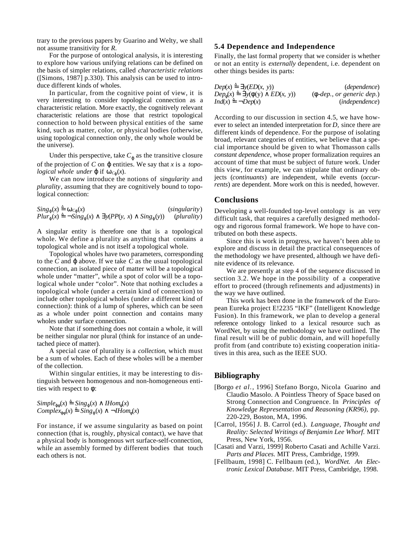trary to the previous papers by Guarino and Welty, we shall not assume transitivity for *R*.

For the purpose of ontological analysis, it is interesting to explore how various unifying relations can be defined on the basis of simpler relations, called *characteristic relations* ([Simons, 1987] p.330). This analysis can be used to introduce different kinds of wholes.

In particular, from the cognitive point of view, it is very interesting to consider topological connection as a characteristic relation. More exactly, the cognitively relevant characteristic relations are those that restrict topological connection to hold between physical entities of the same kind, such as matter, color, or physical bodies (otherwise, using topological connection only, the only whole would be the universe).

Under this perspective, take  $C$  as the transitive closure of the projection of *C* on entities. We say that *x* is a *topological whole under* if  $C(x)$ .

We can now introduce the notions of *singularity* and *plurality*, assuming that they are cognitively bound to topological connection:

 $Sing(x) = c(x)$  (*singularity*) *Plur*  $(x) = -\text{Sing}(x)$  *y*(*PP*(*y, x*) *Sing* (*y*)) (*plurality*)

A singular entity is therefore one that is a topological whole. We define a plurality as anything that contains a topological whole and is not itself a topological whole.

Topological wholes have two parameters, corresponding to the *C* and above. If we take *C* as the usual topological connection, an isolated piece of matter will be a topological whole under "matter", while a spot of color will be a topological whole under "color". Note that nothing excludes a topological whole (under a certain kind of connection) to include other topological wholes (under a different kind of connection): think of a lump of spheres, which can be seen as a whole under point connection and contains many wholes under surface connection.

Note that if something does not contain a whole, it will be neither singular nor plural (think for instance of an undetached piece of matter).

A special case of plurality is a *collection*, which must be a sum of wholes. Each of these wholes will be a member of the collection.

Within singular entities, it may be interesting to distinguish between homogenous and non-homogeneous entities with respect to :

```
Simple (x) =Sing (x) IHom (x)Complex (x) = Sing(x) \neg Hom(x)
```
For instance, if we assume singularity as based on point connection (that is, roughly, physical contact), we have that a physical body is homogenous wrt surface-self-connection, while an assembly formed by different bodies that touch each others is not.

#### **5.4 Dependence and Independence**

Finally, the last formal property that we consider is whether or not an entity is *externally* dependent, i.e. dependent on other things besides its parts:

| $Dep(x) = y(ED(x, y))$      | (dependence)                                                         |
|-----------------------------|----------------------------------------------------------------------|
| $Dep(x) = y(y)$<br>ED(x, y) | $\left( \begin{array}{c} -dep., or generic dep. \end{array} \right)$ |
| $Ind(x) = \neg Dep(x)$      | ( <i>independence</i> )                                              |

According to our discussion in section 4.5, we have however to select an intended interpretation for *D,* since there are different kinds of dependence. For the purpose of isolating broad, relevant categories of entities, we believe that a special importance should be given to what Thomasson calls *constant dependence*, whose proper formalization requires an account of time that must be subject of future work. Under this view, for example, we can stipulate that ordinary objects (*continuants*) are independent, while events (*occurrents*) are dependent. More work on this is needed, however.

## **Conclusions**

Developing a well-founded top-level ontology is an very difficult task, that requires a carefully designed methodology and rigorous formal framework. We hope to have contributed on both these aspects.

Since this is work in progress, we haven't been able to explore and discuss in detail the practical consequences of the methodology we have presented, although we have definite evidence of its relevance.

We are presently at step 4 of the sequence discussed in section 3.2. We hope in the possibility of a cooperative effort to proceed (through refinements and adjustments) in the way we have outlined.

This work has been done in the framework of the European Eureka project E!2235 "IKF" (Intelligent Knowledge Fusion). In this framework, we plan to develop a general reference ontology linked to a lexical resource such as WordNet, by using the methodology we have outlined. The final result will be of public domain, and will hopefully profit from (and contribute to) existing cooperation initiatives in this area, such as the IEEE SUO.

## **Bibliography**

- [Borgo *et al.*, 1996] Stefano Borgo, Nicola Guarino and Claudio Masolo. A Pointless Theory of Space based on Strong Connection and Congruence. In *Principles of Knowledge Representation and Reasoning (KR96)*, pp. 220-229, Boston, MA, 1996.
- [Carrol, 1956] J. B. Carrol (ed.). *Language, Thought and Reality: Selected Writings of Benjamin Lee Whorf*. MIT Press, New York, 1956.
- [Casati and Varzi, 1999] Roberto Casati and Achille Varzi. *Parts and Places.* MIT Press, Cambridge, 1999.
- [Fellbaum, 1998] C. Fellbaum (ed.), *WordNet. An Electronic Lexical Database*. MIT Press, Cambridge, 1998.